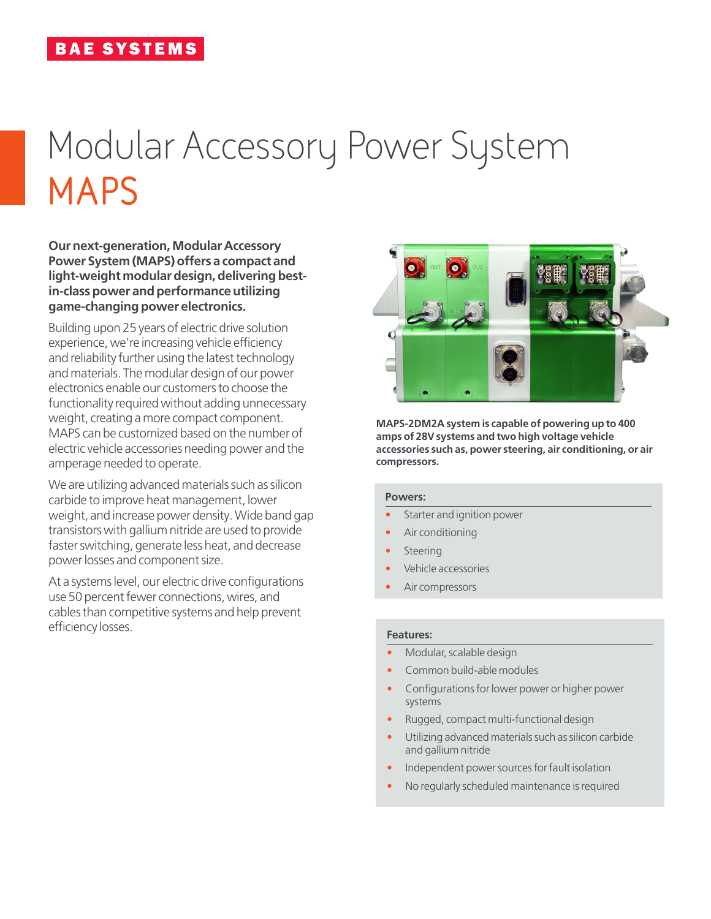# Modular Accessory Power System **MAPS**

**Our next-generation, Modular Accessory Power System (MAPS) offers a compact and light-weight modulardesign, delivering bestin-class power and performance utilizing game-changing power electronics.**

Building upon 25 years of electric drive solution experience, we're increasing vehicle efficiency and reliability further using the latest technology and materials. The modular design of our power electronics enable our customers to choose the functionality required without adding unnecessary weight, creating a more compact component. MAPS can be customized based on the number of electric vehicle accessories needing power and the amperage needed to operate.

We are utilizing advanced materials such as silicon carbide to improve heat management, lower weight, and increase power density. Wide band gap transistors with gallium nitride are used to provide faster switching, generate less heat, and decrease power losses and component size.

At a systems level, our electric drive configurations use 50 percent fewer connections, wires, and cables than competitive systems and help prevent efficiency losses.



**MAPS-2DM2A system is capable of powering up to 400 amps of 28V systems and two high voltage vehicle accessories such as, power steering, air conditioning, or air compressors.**

#### **Powers:**

- Starter and ignition power
- Air conditioning
- **Steering**
- Vehicle accessories
- Air compressors

#### **Features:**

- Modular, scalable design
- Common build-able modules
- Configurations for lower power or higher power systems
- Rugged, compact multi-functional design
- Utilizing advanced materials such as silicon carbide and gallium nitride
- Independent power sources for fault isolation
- No regularly scheduled maintenance is required